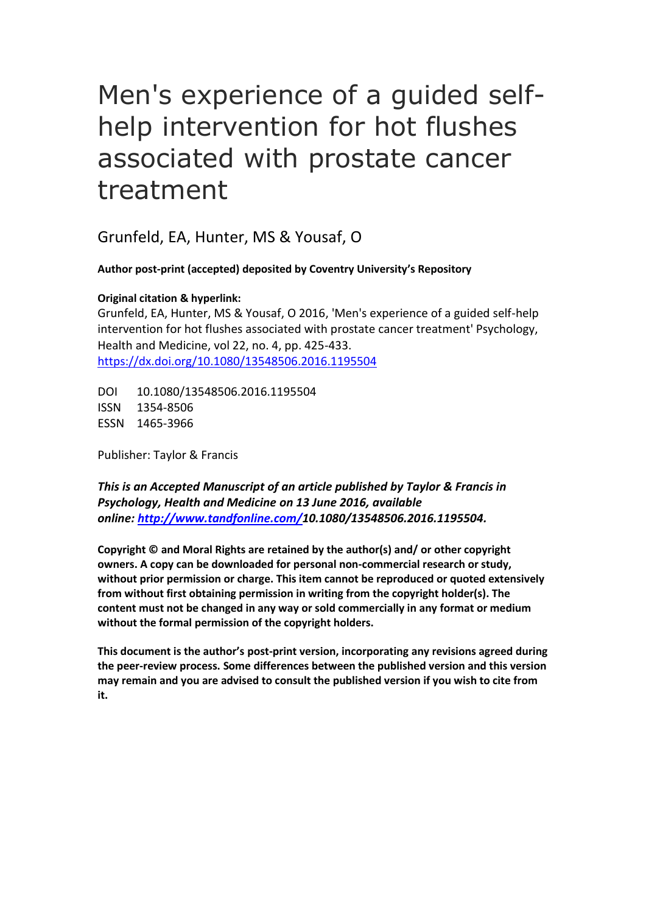# Men's experience of a guided selfhelp intervention for hot flushes associated with prostate cancer treatment

Grunfeld, EA, Hunter, MS & Yousaf, O

**Author post-print (accepted) deposited by Coventry University's Repository**

# **Original citation & hyperlink:**

Grunfeld, EA, Hunter, MS & Yousaf, O 2016, 'Men's experience of a guided self-help intervention for hot flushes associated with prostate cancer treatment' Psychology, Health and Medicine, vol 22, no. 4, pp. 425-433. <https://dx.doi.org/10.1080/13548506.2016.1195504>

DOI 10.1080/13548506.2016.1195504 ISSN 1354-8506 ESSN 1465-3966

Publisher: Taylor & Francis

*This is an Accepted Manuscript of an article published by Taylor & Francis in Psychology, Health and Medicine on 13 June 2016, available online: [http://www.tandfonline.com/1](http://www.tandfonline.com/)0.1080/13548506.2016.1195504.*

**Copyright © and Moral Rights are retained by the author(s) and/ or other copyright owners. A copy can be downloaded for personal non-commercial research or study, without prior permission or charge. This item cannot be reproduced or quoted extensively from without first obtaining permission in writing from the copyright holder(s). The content must not be changed in any way or sold commercially in any format or medium without the formal permission of the copyright holders.** 

**This document is the author's post-print version, incorporating any revisions agreed during the peer-review process. Some differences between the published version and this version may remain and you are advised to consult the published version if you wish to cite from it.**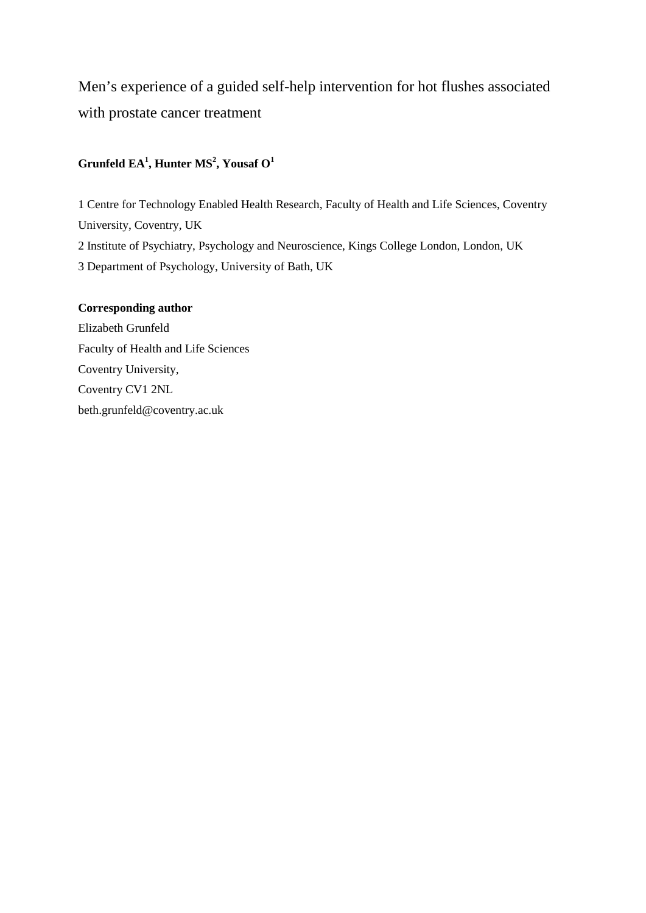Men's experience of a guided self-help intervention for hot flushes associated with prostate cancer treatment

# $G$ runfeld  $EA<sup>1</sup>$ , Hunter MS<sup>2</sup>, Yousaf  $O<sup>1</sup>$

1 Centre for Technology Enabled Health Research, Faculty of Health and Life Sciences, Coventry University, Coventry, UK 2 Institute of Psychiatry, Psychology and Neuroscience, Kings College London, London, UK 3 Department of Psychology, University of Bath, UK

## **Corresponding author**

Elizabeth Grunfeld Faculty of Health and Life Sciences Coventry University, Coventry CV1 2NL beth.grunfeld@coventry.ac.uk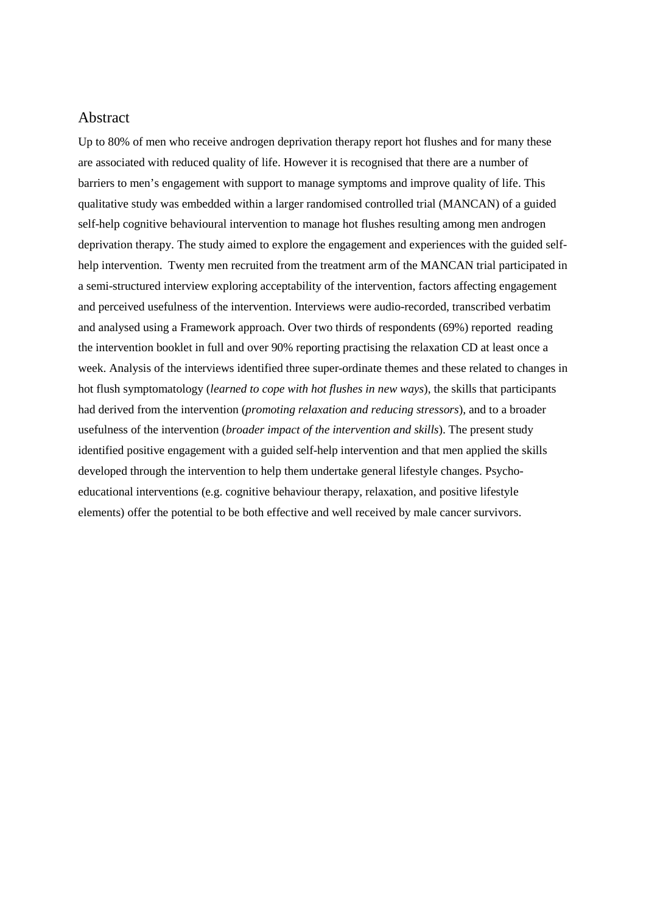## Abstract

Up to 80% of men who receive androgen deprivation therapy report hot flushes and for many these are associated with reduced quality of life. However it is recognised that there are a number of barriers to men's engagement with support to manage symptoms and improve quality of life. This qualitative study was embedded within a larger randomised controlled trial (MANCAN) of a guided self-help cognitive behavioural intervention to manage hot flushes resulting among men androgen deprivation therapy. The study aimed to explore the engagement and experiences with the guided selfhelp intervention. Twenty men recruited from the treatment arm of the MANCAN trial participated in a semi-structured interview exploring acceptability of the intervention, factors affecting engagement and perceived usefulness of the intervention. Interviews were audio-recorded, transcribed verbatim and analysed using a Framework approach. Over two thirds of respondents (69%) reported reading the intervention booklet in full and over 90% reporting practising the relaxation CD at least once a week. Analysis of the interviews identified three super-ordinate themes and these related to changes in hot flush symptomatology (*learned to cope with hot flushes in new ways*), the skills that participants had derived from the intervention (*promoting relaxation and reducing stressors*), and to a broader usefulness of the intervention (*broader impact of the intervention and skills*). The present study identified positive engagement with a guided self-help intervention and that men applied the skills developed through the intervention to help them undertake general lifestyle changes. Psychoeducational interventions (e.g. cognitive behaviour therapy, relaxation, and positive lifestyle elements) offer the potential to be both effective and well received by male cancer survivors.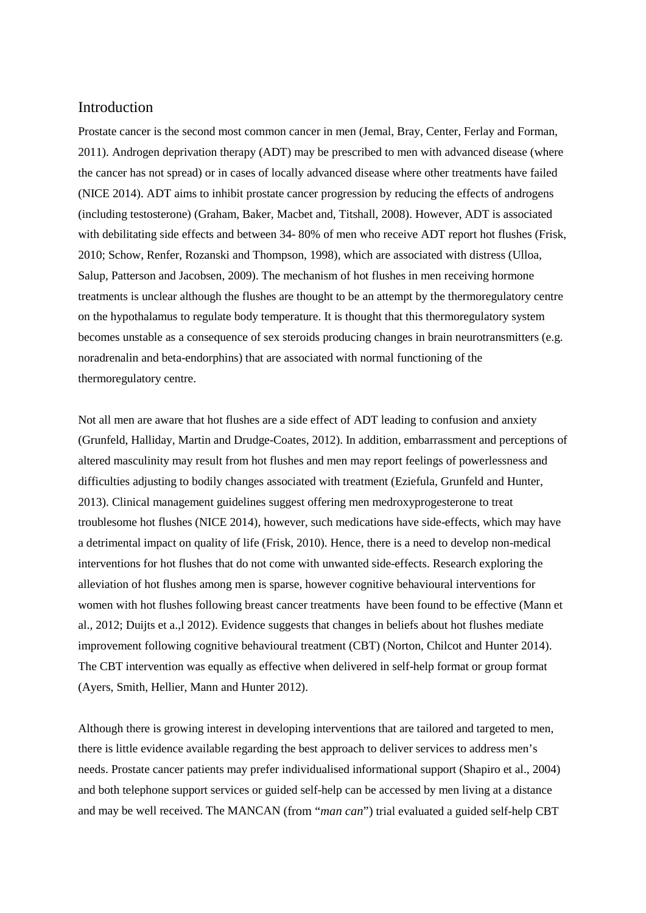## Introduction

Prostate cancer is the second most common cancer in men (Jemal, Bray, Center, Ferlay and Forman, 2011). Androgen deprivation therapy (ADT) may be prescribed to men with advanced disease (where the cancer has not spread) or in cases of locally advanced disease where other treatments have failed (NICE 2014). ADT aims to inhibit prostate cancer progression by reducing the effects of androgens (including testosterone) (Graham, Baker, Macbet and, Titshall, 2008). However, ADT is associated with debilitating side effects and between 34-80% of men who receive ADT report hot flushes (Frisk, 2010; Schow, Renfer, Rozanski and Thompson, 1998), which are associated with distress (Ulloa, Salup, Patterson and Jacobsen, 2009). The mechanism of hot flushes in men receiving hormone treatments is unclear although the flushes are thought to be an attempt by the thermoregulatory centre on the hypothalamus to regulate body temperature. It is thought that this thermoregulatory system becomes unstable as a consequence of sex steroids producing changes in brain neurotransmitters (e.g. noradrenalin and beta-endorphins) that are associated with normal functioning of the thermoregulatory centre.

Not all men are aware that hot flushes are a side effect of ADT leading to confusion and anxiety (Grunfeld, Halliday, Martin and Drudge-Coates, 2012). In addition, embarrassment and perceptions of altered masculinity may result from hot flushes and men may report feelings of powerlessness and difficulties adjusting to bodily changes associated with treatment (Eziefula, Grunfeld and Hunter, 2013). Clinical management guidelines suggest offering men medroxyprogesterone to treat troublesome hot flushes (NICE 2014), however, such medications have side-effects, which may have a detrimental impact on quality of life (Frisk, 2010). Hence, there is a need to develop non-medical interventions for hot flushes that do not come with unwanted side-effects. Research exploring the alleviation of hot flushes among men is sparse, however cognitive behavioural interventions for women with hot flushes following breast cancer treatments have been found to be effective (Mann et al., 2012; Duijts et a.,l 2012). Evidence suggests that changes in beliefs about hot flushes mediate improvement following cognitive behavioural treatment (CBT) (Norton, Chilcot and Hunter 2014). The CBT intervention was equally as effective when delivered in self-help format or group format (Ayers, Smith, Hellier, Mann and Hunter 2012).

Although there is growing interest in developing interventions that are tailored and targeted to men, there is little evidence available regarding the best approach to deliver services to address men's needs. Prostate cancer patients may prefer individualised informational support (Shapiro et al., 2004) and both telephone support services or guided self-help can be accessed by men living at a distance and may be well received. The MANCAN (from "*man can*") trial evaluated a guided self-help CBT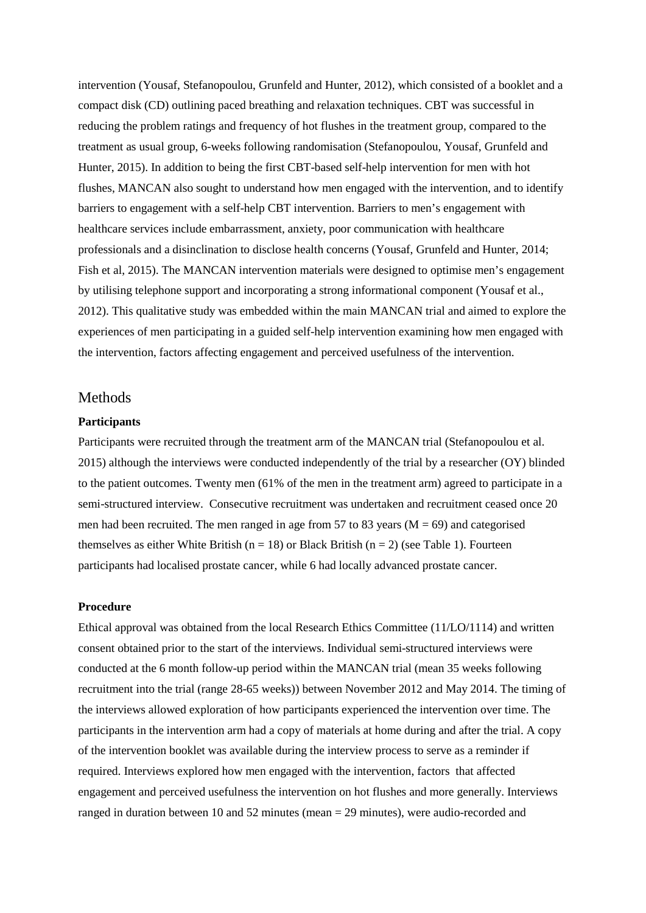intervention (Yousaf, Stefanopoulou, Grunfeld and Hunter, 2012), which consisted of a booklet and a compact disk (CD) outlining paced breathing and relaxation techniques. CBT was successful in reducing the problem ratings and frequency of hot flushes in the treatment group, compared to the treatment as usual group, 6-weeks following randomisation (Stefanopoulou, Yousaf, Grunfeld and Hunter, 2015). In addition to being the first CBT-based self-help intervention for men with hot flushes, MANCAN also sought to understand how men engaged with the intervention, and to identify barriers to engagement with a self-help CBT intervention. Barriers to men's engagement with healthcare services include embarrassment, anxiety, poor communication with healthcare professionals and a disinclination to disclose health concerns (Yousaf, Grunfeld and Hunter, 2014; Fish et al, 2015). The MANCAN intervention materials were designed to optimise men's engagement by utilising telephone support and incorporating a strong informational component (Yousaf et al., 2012). This qualitative study was embedded within the main MANCAN trial and aimed to explore the experiences of men participating in a guided self-help intervention examining how men engaged with the intervention, factors affecting engagement and perceived usefulness of the intervention.

## Methods

#### **Participants**

Participants were recruited through the treatment arm of the MANCAN trial (Stefanopoulou et al. 2015) although the interviews were conducted independently of the trial by a researcher (OY) blinded to the patient outcomes. Twenty men (61% of the men in the treatment arm) agreed to participate in a semi-structured interview. Consecutive recruitment was undertaken and recruitment ceased once 20 men had been recruited. The men ranged in age from 57 to 83 years ( $M = 69$ ) and categorised themselves as either White British ( $n = 18$ ) or Black British ( $n = 2$ ) (see Table 1). Fourteen participants had localised prostate cancer, while 6 had locally advanced prostate cancer.

#### **Procedure**

Ethical approval was obtained from the local Research Ethics Committee (11/LO/1114) and written consent obtained prior to the start of the interviews. Individual semi-structured interviews were conducted at the 6 month follow-up period within the MANCAN trial (mean 35 weeks following recruitment into the trial (range 28-65 weeks)) between November 2012 and May 2014. The timing of the interviews allowed exploration of how participants experienced the intervention over time. The participants in the intervention arm had a copy of materials at home during and after the trial. A copy of the intervention booklet was available during the interview process to serve as a reminder if required. Interviews explored how men engaged with the intervention, factors that affected engagement and perceived usefulness the intervention on hot flushes and more generally. Interviews ranged in duration between 10 and 52 minutes (mean = 29 minutes), were audio-recorded and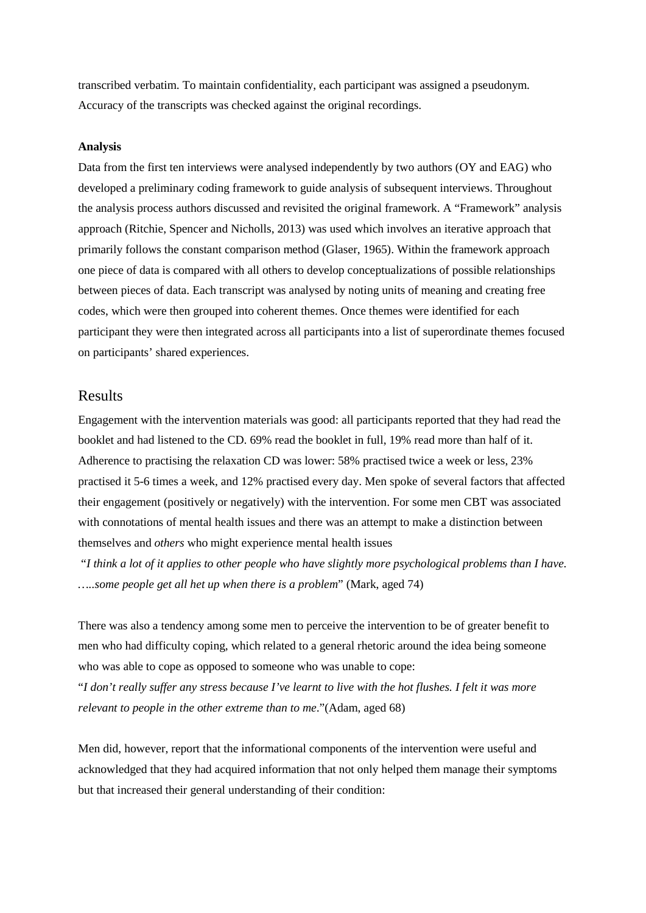transcribed verbatim. To maintain confidentiality, each participant was assigned a pseudonym. Accuracy of the transcripts was checked against the original recordings.

#### **Analysis**

Data from the first ten interviews were analysed independently by two authors (OY and EAG) who developed a preliminary coding framework to guide analysis of subsequent interviews. Throughout the analysis process authors discussed and revisited the original framework. A "Framework" analysis approach (Ritchie, Spencer and Nicholls, 2013) was used which involves an iterative approach that primarily follows the constant comparison method (Glaser, 1965). Within the framework approach one piece of data is compared with all others to develop conceptualizations of possible relationships between pieces of data. Each transcript was analysed by noting units of meaning and creating free codes, which were then grouped into coherent themes. Once themes were identified for each participant they were then integrated across all participants into a list of superordinate themes focused on participants' shared experiences.

## Results

Engagement with the intervention materials was good: all participants reported that they had read the booklet and had listened to the CD. 69% read the booklet in full, 19% read more than half of it. Adherence to practising the relaxation CD was lower: 58% practised twice a week or less, 23% practised it 5-6 times a week, and 12% practised every day. Men spoke of several factors that affected their engagement (positively or negatively) with the intervention. For some men CBT was associated with connotations of mental health issues and there was an attempt to make a distinction between themselves and *others* who might experience mental health issues

"*I think a lot of it applies to other people who have slightly more psychological problems than I have. …..some people get all het up when there is a problem*" (Mark, aged 74)

There was also a tendency among some men to perceive the intervention to be of greater benefit to men who had difficulty coping, which related to a general rhetoric around the idea being someone who was able to cope as opposed to someone who was unable to cope: "*I don't really suffer any stress because I've learnt to live with the hot flushes. I felt it was more relevant to people in the other extreme than to me*."(Adam, aged 68)

Men did, however, report that the informational components of the intervention were useful and acknowledged that they had acquired information that not only helped them manage their symptoms but that increased their general understanding of their condition: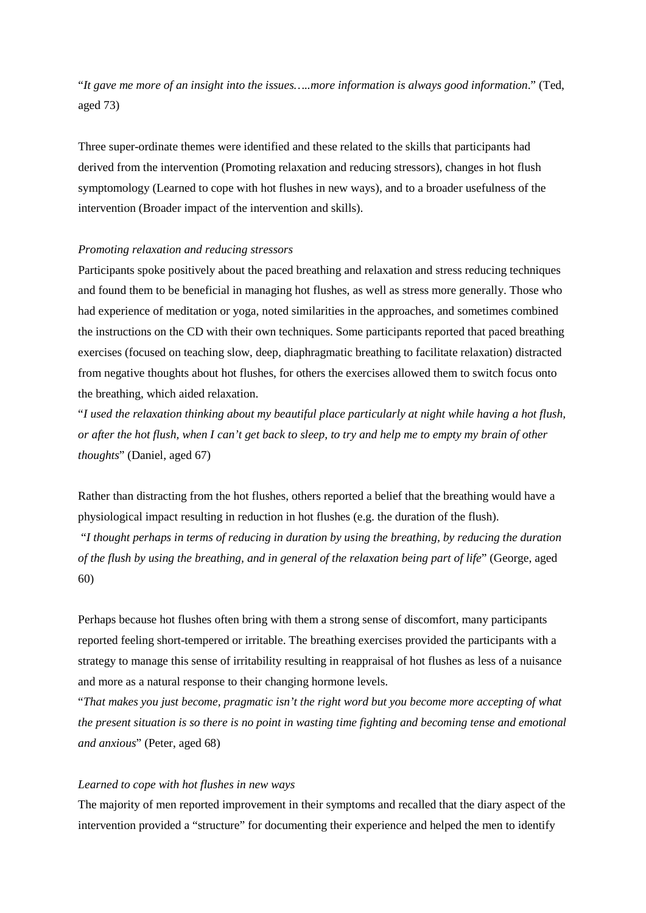"*It gave me more of an insight into the issues…..more information is always good information*." (Ted, aged 73)

Three super-ordinate themes were identified and these related to the skills that participants had derived from the intervention (Promoting relaxation and reducing stressors), changes in hot flush symptomology (Learned to cope with hot flushes in new ways), and to a broader usefulness of the intervention (Broader impact of the intervention and skills).

#### *Promoting relaxation and reducing stressors*

Participants spoke positively about the paced breathing and relaxation and stress reducing techniques and found them to be beneficial in managing hot flushes, as well as stress more generally. Those who had experience of meditation or yoga, noted similarities in the approaches, and sometimes combined the instructions on the CD with their own techniques. Some participants reported that paced breathing exercises (focused on teaching slow, deep, diaphragmatic breathing to facilitate relaxation) distracted from negative thoughts about hot flushes, for others the exercises allowed them to switch focus onto the breathing, which aided relaxation.

"*I used the relaxation thinking about my beautiful place particularly at night while having a hot flush, or after the hot flush, when I can't get back to sleep, to try and help me to empty my brain of other thoughts*" (Daniel, aged 67)

Rather than distracting from the hot flushes, others reported a belief that the breathing would have a physiological impact resulting in reduction in hot flushes (e.g. the duration of the flush).

"*I thought perhaps in terms of reducing in duration by using the breathing, by reducing the duration of the flush by using the breathing, and in general of the relaxation being part of life*" (George, aged 60)

Perhaps because hot flushes often bring with them a strong sense of discomfort, many participants reported feeling short-tempered or irritable. The breathing exercises provided the participants with a strategy to manage this sense of irritability resulting in reappraisal of hot flushes as less of a nuisance and more as a natural response to their changing hormone levels.

"*That makes you just become, pragmatic isn't the right word but you become more accepting of what the present situation is so there is no point in wasting time fighting and becoming tense and emotional and anxious*" (Peter, aged 68)

#### *Learned to cope with hot flushes in new ways*

The majority of men reported improvement in their symptoms and recalled that the diary aspect of the intervention provided a "structure" for documenting their experience and helped the men to identify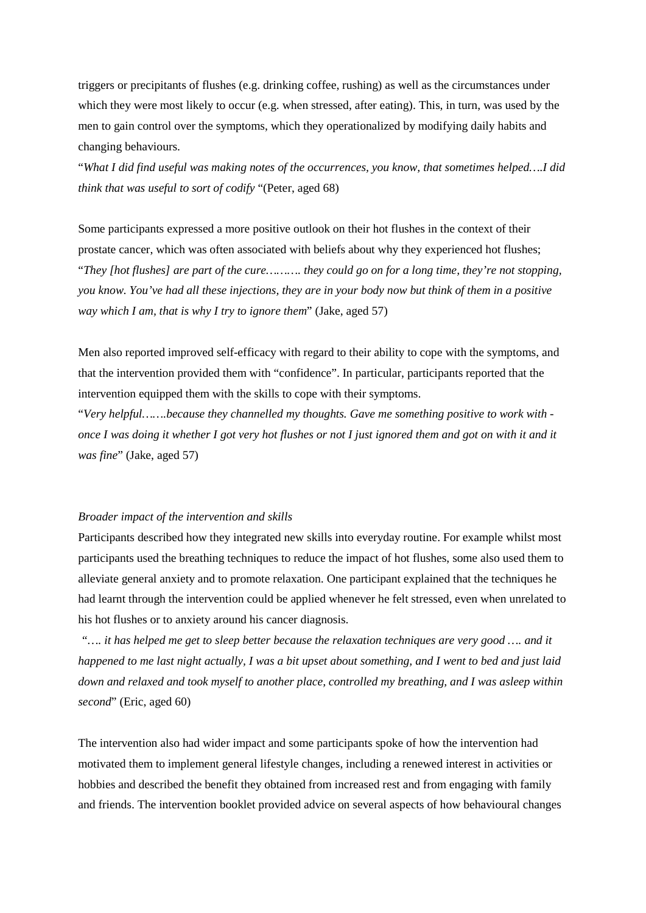triggers or precipitants of flushes (e.g. drinking coffee, rushing) as well as the circumstances under which they were most likely to occur (e.g. when stressed, after eating). This, in turn, was used by the men to gain control over the symptoms, which they operationalized by modifying daily habits and changing behaviours.

"*What I did find useful was making notes of the occurrences, you know, that sometimes helped….I did think that was useful to sort of codify* "(Peter, aged 68)

Some participants expressed a more positive outlook on their hot flushes in the context of their prostate cancer, which was often associated with beliefs about why they experienced hot flushes; "*They [hot flushes] are part of the cure………. they could go on for a long time, they're not stopping, you know. You've had all these injections, they are in your body now but think of them in a positive way which I am, that is why I try to ignore them*" (Jake, aged 57)

Men also reported improved self-efficacy with regard to their ability to cope with the symptoms, and that the intervention provided them with "confidence". In particular, participants reported that the intervention equipped them with the skills to cope with their symptoms.

"*Very helpful…….because they channelled my thoughts. Gave me something positive to work with once I was doing it whether I got very hot flushes or not I just ignored them and got on with it and it was fine*" (Jake, aged 57)

## *Broader impact of the intervention and skills*

Participants described how they integrated new skills into everyday routine. For example whilst most participants used the breathing techniques to reduce the impact of hot flushes, some also used them to alleviate general anxiety and to promote relaxation. One participant explained that the techniques he had learnt through the intervention could be applied whenever he felt stressed, even when unrelated to his hot flushes or to anxiety around his cancer diagnosis.

*"…. it has helped me get to sleep better because the relaxation techniques are very good …. and it happened to me last night actually, I was a bit upset about something, and I went to bed and just laid down and relaxed and took myself to another place, controlled my breathing, and I was asleep within second*" (Eric, aged 60)

The intervention also had wider impact and some participants spoke of how the intervention had motivated them to implement general lifestyle changes, including a renewed interest in activities or hobbies and described the benefit they obtained from increased rest and from engaging with family and friends. The intervention booklet provided advice on several aspects of how behavioural changes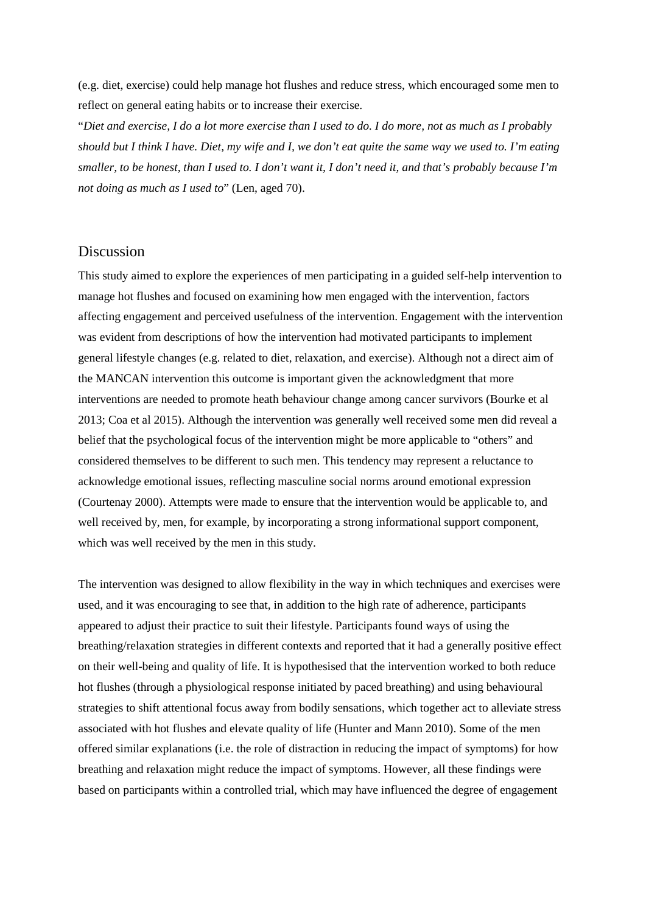(e.g. diet, exercise) could help manage hot flushes and reduce stress, which encouraged some men to reflect on general eating habits or to increase their exercise.

"*Diet and exercise, I do a lot more exercise than I used to do. I do more, not as much as I probably should but I think I have. Diet, my wife and I, we don't eat quite the same way we used to. I'm eating smaller, to be honest, than I used to. I don't want it, I don't need it, and that's probably because I'm not doing as much as I used to*" (Len, aged 70).

# Discussion

This study aimed to explore the experiences of men participating in a guided self-help intervention to manage hot flushes and focused on examining how men engaged with the intervention, factors affecting engagement and perceived usefulness of the intervention. Engagement with the intervention was evident from descriptions of how the intervention had motivated participants to implement general lifestyle changes (e.g. related to diet, relaxation, and exercise). Although not a direct aim of the MANCAN intervention this outcome is important given the acknowledgment that more interventions are needed to promote heath behaviour change among cancer survivors (Bourke et al 2013; Coa et al 2015). Although the intervention was generally well received some men did reveal a belief that the psychological focus of the intervention might be more applicable to "others" and considered themselves to be different to such men. This tendency may represent a reluctance to acknowledge emotional issues, reflecting masculine social norms around emotional expression (Courtenay 2000). Attempts were made to ensure that the intervention would be applicable to, and well received by, men, for example, by incorporating a strong informational support component, which was well received by the men in this study.

The intervention was designed to allow flexibility in the way in which techniques and exercises were used, and it was encouraging to see that, in addition to the high rate of adherence, participants appeared to adjust their practice to suit their lifestyle. Participants found ways of using the breathing/relaxation strategies in different contexts and reported that it had a generally positive effect on their well-being and quality of life. It is hypothesised that the intervention worked to both reduce hot flushes (through a physiological response initiated by paced breathing) and using behavioural strategies to shift attentional focus away from bodily sensations, which together act to alleviate stress associated with hot flushes and elevate quality of life (Hunter and Mann 2010). Some of the men offered similar explanations (i.e. the role of distraction in reducing the impact of symptoms) for how breathing and relaxation might reduce the impact of symptoms. However, all these findings were based on participants within a controlled trial, which may have influenced the degree of engagement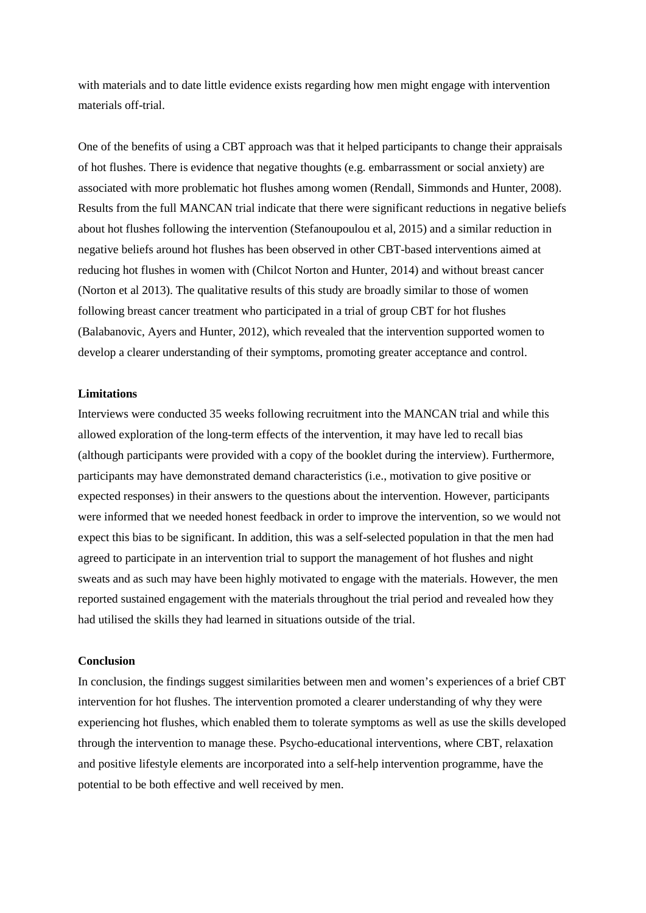with materials and to date little evidence exists regarding how men might engage with intervention materials off-trial.

One of the benefits of using a CBT approach was that it helped participants to change their appraisals of hot flushes. There is evidence that negative thoughts (e.g. embarrassment or social anxiety) are associated with more problematic hot flushes among women (Rendall, Simmonds and Hunter, 2008). Results from the full MANCAN trial indicate that there were significant reductions in negative beliefs about hot flushes following the intervention (Stefanoupoulou et al, 2015) and a similar reduction in negative beliefs around hot flushes has been observed in other CBT-based interventions aimed at reducing hot flushes in women with (Chilcot Norton and Hunter, 2014) and without breast cancer (Norton et al 2013). The qualitative results of this study are broadly similar to those of women following breast cancer treatment who participated in a trial of group CBT for hot flushes (Balabanovic, Ayers and Hunter, 2012), which revealed that the intervention supported women to develop a clearer understanding of their symptoms, promoting greater acceptance and control.

#### **Limitations**

Interviews were conducted 35 weeks following recruitment into the MANCAN trial and while this allowed exploration of the long-term effects of the intervention, it may have led to recall bias (although participants were provided with a copy of the booklet during the interview). Furthermore, participants may have demonstrated demand characteristics (i.e., motivation to give positive or expected responses) in their answers to the questions about the intervention. However, participants were informed that we needed honest feedback in order to improve the intervention, so we would not expect this bias to be significant. In addition, this was a self-selected population in that the men had agreed to participate in an intervention trial to support the management of hot flushes and night sweats and as such may have been highly motivated to engage with the materials. However, the men reported sustained engagement with the materials throughout the trial period and revealed how they had utilised the skills they had learned in situations outside of the trial.

## **Conclusion**

In conclusion, the findings suggest similarities between men and women's experiences of a brief CBT intervention for hot flushes. The intervention promoted a clearer understanding of why they were experiencing hot flushes, which enabled them to tolerate symptoms as well as use the skills developed through the intervention to manage these. Psycho-educational interventions, where CBT, relaxation and positive lifestyle elements are incorporated into a self-help intervention programme, have the potential to be both effective and well received by men.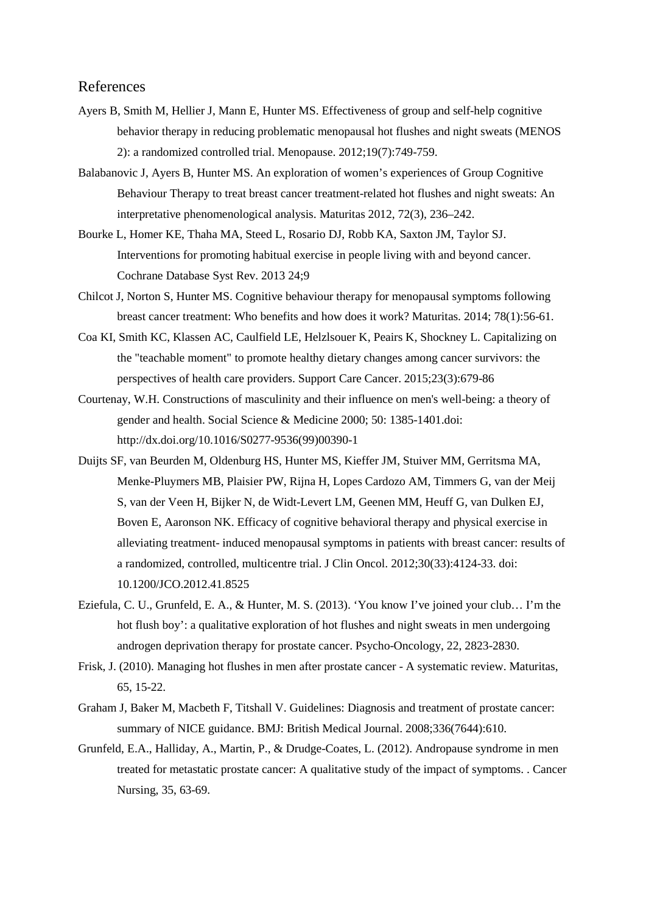## References

- Ayers B, Smith M, Hellier J, Mann E, Hunter MS. Effectiveness of group and self-help cognitive behavior therapy in reducing problematic menopausal hot flushes and night sweats (MENOS 2): a randomized controlled trial. Menopause. 2012;19(7):749-759.
- Balabanovic J, Ayers B, Hunter MS. An exploration of women's experiences of Group Cognitive Behaviour Therapy to treat breast cancer treatment-related hot flushes and night sweats: An interpretative phenomenological analysis. Maturitas 2012, 72(3), 236–242.
- Bourke L, Homer KE, Thaha MA, Steed L, Rosario DJ, Robb KA, Saxton JM, Taylor SJ. Interventions for promoting habitual exercise in people living with and beyond cancer. Cochrane Database Syst Rev. 2013 24;9
- Chilcot J, Norton S, Hunter MS. Cognitive behaviour therapy for menopausal symptoms following breast cancer treatment: Who benefits and how does it work? Maturitas. 2014; 78(1):56-61.
- Coa KI, Smith KC, Klassen AC, Caulfield LE, Helzlsouer K, Peairs K, Shockney L. Capitalizing on the "teachable moment" to promote healthy dietary changes among cancer survivors: the perspectives of health care providers. Support Care Cancer. 2015;23(3):679-86
- Courtenay, W.H. Constructions of masculinity and their influence on men's well-being: a theory of gender and health. Social Science & Medicine 2000; 50: 1385-1401.doi: http://dx.doi.org/10.1016/S0277-9536(99)00390-1
- Duijts SF, van Beurden M, Oldenburg HS, Hunter MS, Kieffer JM, Stuiver MM, Gerritsma MA, Menke-Pluymers MB, Plaisier PW, Rijna H, Lopes Cardozo AM, Timmers G, van der Meij S, van der Veen H, Bijker N, de Widt-Levert LM, Geenen MM, Heuff G, van Dulken EJ, Boven E, Aaronson NK. Efficacy of cognitive behavioral therapy and physical exercise in alleviating treatment- induced menopausal symptoms in patients with breast cancer: results of a randomized, controlled, multicentre trial. J Clin Oncol. 2012;30(33):4124-33. doi: 10.1200/JCO.2012.41.8525
- Eziefula, C. U., Grunfeld, E. A., & Hunter, M. S. (2013). 'You know I've joined your club… I'm the hot flush boy': a qualitative exploration of hot flushes and night sweats in men undergoing androgen deprivation therapy for prostate cancer. Psycho-Oncology, 22, 2823-2830.
- Frisk, J. (2010). Managing hot flushes in men after prostate cancer A systematic review. Maturitas, 65, 15-22.
- Graham J, Baker M, Macbeth F, Titshall V. Guidelines: Diagnosis and treatment of prostate cancer: summary of NICE guidance. BMJ: British Medical Journal. 2008;336(7644):610.
- Grunfeld, E.A., Halliday, A., Martin, P., & Drudge-Coates, L. (2012). Andropause syndrome in men treated for metastatic prostate cancer: A qualitative study of the impact of symptoms. . Cancer Nursing, 35, 63-69.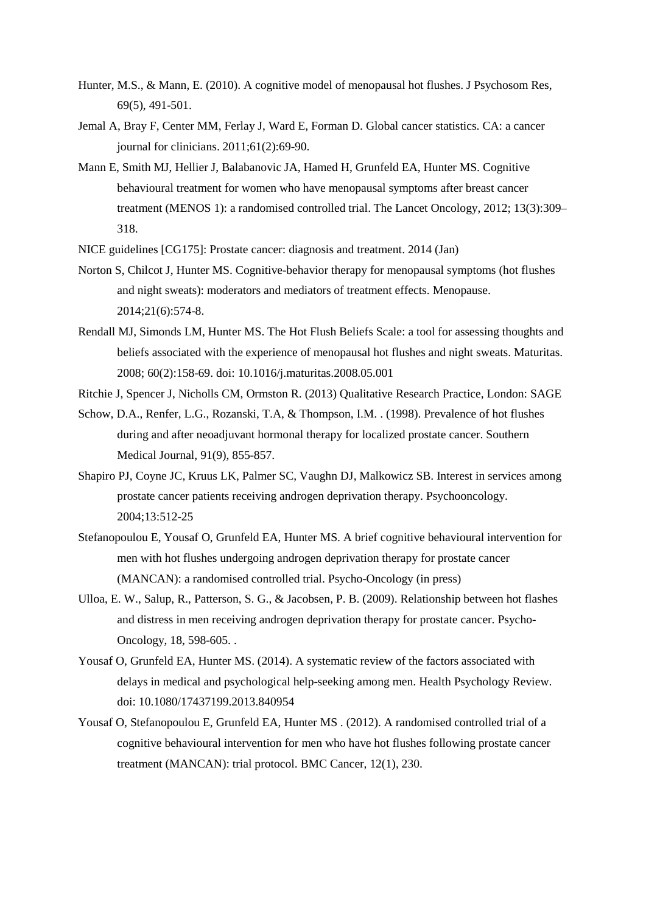- Hunter, M.S., & Mann, E. (2010). A cognitive model of menopausal hot flushes. J Psychosom Res, 69(5), 491-501.
- Jemal A, Bray F, Center MM, Ferlay J, Ward E, Forman D. Global cancer statistics. CA: a cancer journal for clinicians. 2011;61(2):69-90.
- Mann E, Smith MJ, Hellier J, Balabanovic JA, Hamed H, Grunfeld EA, Hunter MS. Cognitive behavioural treatment for women who have menopausal symptoms after breast cancer treatment (MENOS 1): a randomised controlled trial. The Lancet Oncology, 2012; 13(3):309– 318.
- NICE guidelines [CG175]: Prostate cancer: diagnosis and treatment. 2014 (Jan)
- Norton S, Chilcot J, Hunter MS. Cognitive-behavior therapy for menopausal symptoms (hot flushes and night sweats): moderators and mediators of treatment effects. Menopause. 2014;21(6):574-8.
- Rendall MJ, Simonds LM, Hunter MS. The Hot Flush Beliefs Scale: a tool for assessing thoughts and beliefs associated with the experience of menopausal hot flushes and night sweats. Maturitas. 2008; 60(2):158-69. doi: 10.1016/j.maturitas.2008.05.001
- Ritchie J, Spencer J, Nicholls CM, Ormston R. (2013) Qualitative Research Practice, London: SAGE
- Schow, D.A., Renfer, L.G., Rozanski, T.A, & Thompson, I.M. . (1998). Prevalence of hot flushes during and after neoadjuvant hormonal therapy for localized prostate cancer. Southern Medical Journal, 91(9), 855-857.
- Shapiro PJ, Coyne JC, Kruus LK, Palmer SC, Vaughn DJ, Malkowicz SB. Interest in services among prostate cancer patients receiving androgen deprivation therapy. Psychooncology. 2004;13:512-25
- Stefanopoulou E, Yousaf O, Grunfeld EA, Hunter MS. A brief cognitive behavioural intervention for men with hot flushes undergoing androgen deprivation therapy for prostate cancer (MANCAN): a randomised controlled trial. Psycho-Oncology (in press)
- Ulloa, E. W., Salup, R., Patterson, S. G., & Jacobsen, P. B. (2009). Relationship between hot flashes and distress in men receiving androgen deprivation therapy for prostate cancer. Psycho-Oncology, 18, 598-605. .
- Yousaf O, Grunfeld EA, Hunter MS. (2014). A systematic review of the factors associated with delays in medical and psychological help-seeking among men. Health Psychology Review. doi: 10.1080/17437199.2013.840954
- Yousaf O, Stefanopoulou E, Grunfeld EA, Hunter MS . (2012). A randomised controlled trial of a cognitive behavioural intervention for men who have hot flushes following prostate cancer treatment (MANCAN): trial protocol. BMC Cancer, 12(1), 230.